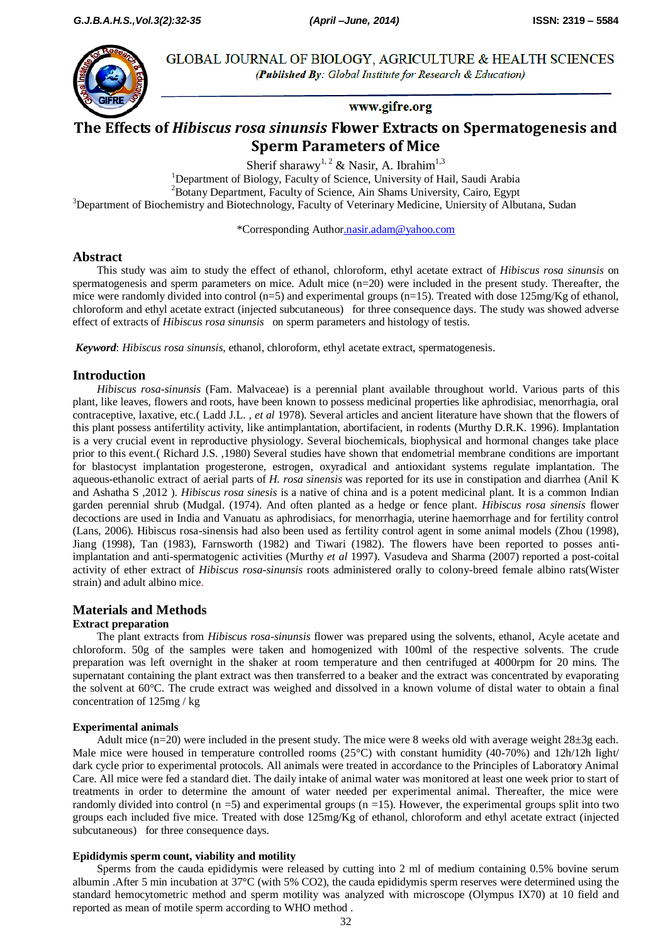

**GLOBAL JOURNAL OF BIOLOGY, AGRICULTURE & HEALTH SCIENCES** (Published By: Global Institute for Research & Education)

# www.gifre.org

# **The Effects of** *Hibiscus rosa sinunsis* **Flower Extracts on Spermatogenesis and Sperm Parameters of Mice**

Sherif sharawy<sup>1, 2</sup> & Nasir, A. Ibrahim<sup>1,3</sup>

<sup>1</sup>Department of Biology, Faculty of Science, University of Hail, Saudi Arabia <sup>2</sup>Botany Department, Faculty of Science, Ain Shams University, Cairo, Egypt <sup>3</sup>Department of Biochemistry and Biotechnology, Faculty of Veterinary Medicine, Uniersity of Albutana, Sudan

\*Corresponding [Author.nasir.adam@yahoo.com](mailto:Author.nasir.adam@yahoo.com)

# **Abstract**

This study was aim to study the effect of ethanol, chloroform, ethyl acetate extract of *Hibiscus rosa sinunsis* on spermatogenesis and sperm parameters on mice. Adult mice (n=20) were included in the present study. Thereafter, the mice were randomly divided into control (n=5) and experimental groups (n=15). Treated with dose 125mg/Kg of ethanol, chloroform and ethyl acetate extract (injected subcutaneous) for three consequence days. The study was showed adverse effect of extracts of *Hibiscus rosa sinunsis* on sperm parameters and histology of testis.

*Keyword*: *Hibiscus rosa sinunsis*, ethanol, chloroform, ethyl acetate extract, spermatogenesis.

# **Introduction**

*Hibiscus rosa-sinunsis* (Fam. Malvaceae) is a perennial plant available throughout world. Various parts of this plant, like leaves, flowers and roots, have been known to possess medicinal properties like aphrodisiac, menorrhagia, oral contraceptive, laxative, etc.( Ladd J.L. , *et al* 1978). Several articles and ancient literature have shown that the flowers of this plant possess antifertility activity, like antimplantation, abortifacient, in rodents (Murthy D.R.K. 1996). Implantation is a very crucial event in reproductive physiology. Several biochemicals, biophysical and hormonal changes take place prior to this event.( Richard J.S. ,1980) Several studies have shown that endometrial membrane conditions are important for blastocyst implantation progesterone, estrogen, oxyradical and antioxidant systems regulate implantation. The aqueous-ethanolic extract of aerial parts of *H. rosa sinensis* was reported for its use in constipation and diarrhea (Anil K and Ashatha S ,2012 ). *Hibiscus rosa sinesis* is a native of china and is a potent medicinal plant. It is a common Indian garden perennial shrub (Mudgal. (1974). And often planted as a hedge or fence plant. *Hibiscus rosa sinensis* flower decoctions are used in India and Vanuatu as aphrodisiacs, for menorrhagia, uterine haemorrhage and for fertility control (Lans, 2006). Hibiscus rosa-sinensis had also been used as fertility control agent in some animal models (Zhou (1998), Jiang (1998), Tan (1983), Farnsworth (1982) and Tiwari (1982). The flowers have been reported to posses antiimplantation and anti-spermatogenic activities (Murthy *et al* 1997). Vasudeva and Sharma (2007) reported a post-coital activity of ether extract of *Hibiscus rosa-sinunsis* roots administered orally to colony-breed female albino rats(Wister strain) and adult albino mice.

# **Materials and Methods**

## **Extract preparation**

The plant extracts from *Hibiscus rosa-sinunsis* flower was prepared using the solvents, ethanol, Acyle acetate and chloroform. 50g of the samples were taken and homogenized with 100ml of the respective solvents. The crude preparation was left overnight in the shaker at room temperature and then centrifuged at 4000rpm for 20 mins. The supernatant containing the plant extract was then transferred to a beaker and the extract was concentrated by evaporating the solvent at 60°C. The crude extract was weighed and dissolved in a known volume of distal water to obtain a final concentration of 125mg / kg

## **Experimental animals**

Adult mice (n=20) were included in the present study. The mice were 8 weeks old with average weight 28±3g each. Male mice were housed in temperature controlled rooms (25°C) with constant humidity (40-70%) and 12h/12h light/ dark cycle prior to experimental protocols. All animals were treated in accordance to the Principles of Laboratory Animal Care. All mice were fed a standard diet. The daily intake of animal water was monitored at least one week prior to start of treatments in order to determine the amount of water needed per experimental animal. Thereafter, the mice were randomly divided into control  $(n = 5)$  and experimental groups  $(n = 15)$ . However, the experimental groups split into two groups each included five mice. Treated with dose 125mg/Kg of ethanol, chloroform and ethyl acetate extract (injected subcutaneous) for three consequence days.

## **Epididymis sperm count, viability and motility**

Sperms from the cauda epididymis were released by cutting into 2 ml of medium containing 0.5% bovine serum albumin .After 5 min incubation at 37°C (with 5% CO2), the cauda epididymis sperm reserves were determined using the standard hemocytometric method and sperm motility was analyzed with microscope (Olympus IX70) at 10 field and reported as mean of motile sperm according to WHO method .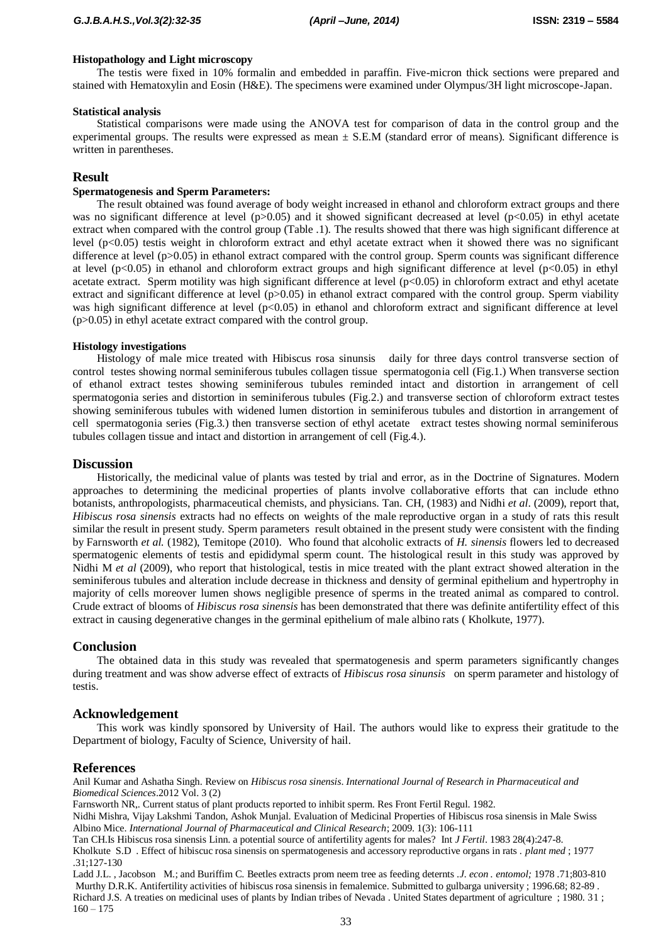#### **Histopathology and Light microscopy**

The testis were fixed in 10% formalin and embedded in paraffin. Five-micron thick sections were prepared and stained with Hematoxylin and Eosin (H&E). The specimens were examined under Olympus/3H light microscope-Japan.

#### **Statistical analysis**

Statistical comparisons were made using the ANOVA test for comparison of data in the control group and the experimental groups. The results were expressed as mean  $\pm$  S.E.M (standard error of means). Significant difference is written in parentheses.

# **Result**

#### **Spermatogenesis and Sperm Parameters:**

The result obtained was found average of body weight increased in ethanol and chloroform extract groups and there was no significant difference at level ( $p>0.05$ ) and it showed significant decreased at level ( $p<0.05$ ) in ethyl acetate extract when compared with the control group (Table .1). The results showed that there was high significant difference at level  $(p<0.05)$  testis weight in chloroform extract and ethyl acetate extract when it showed there was no significant difference at level (p>0.05) in ethanol extract compared with the control group. Sperm counts was significant difference at level ( $p<0.05$ ) in ethanol and chloroform extract groups and high significant difference at level ( $p<0.05$ ) in ethyl acetate extract. Sperm motility was high significant difference at level  $(p<0.05)$  in chloroform extract and ethyl acetate extract and significant difference at level  $(p>0.05)$  in ethanol extract compared with the control group. Sperm viability was high significant difference at level (p<0.05) in ethanol and chloroform extract and significant difference at level (p>0.05) in ethyl acetate extract compared with the control group.

#### **Histology investigations**

Histology of male mice treated with Hibiscus rosa sinunsis daily for three days control transverse section of control testes showing normal seminiferous tubules collagen tissue spermatogonia cell (Fig.1.) When transverse section of ethanol extract testes showing seminiferous tubules reminded intact and distortion in arrangement of cell spermatogonia series and distortion in seminiferous tubules (Fig.2.) and transverse section of chloroform extract testes showing seminiferous tubules with widened lumen distortion in seminiferous tubules and distortion in arrangement of cell spermatogonia series (Fig.3.) then transverse section of ethyl acetate extract testes showing normal seminiferous tubules collagen tissue and intact and distortion in arrangement of cell (Fig.4.).

# **Discussion**

Historically, the medicinal value of plants was tested by trial and error, as in the [Doctrine of Signatures.](http://www.encyclopedia.com/doc/1E1-Doctrine.html) Modern approaches to determining the medicinal properties of plants involve collaborative efforts that can include ethno botanists, anthropologists, pharmaceutical chemists, and physicians. Tan. CH, (1983) and Nidhi *et al*. (2009), report that, *Hibiscus rosa sinensis* extracts had no effects on weights of the male reproductive organ in a study of rats this result similar the result in present study. Sperm parameters result obtained in the present study were consistent with the finding by Farnsworth *et al.* (1982), Temitope (2010). Who found that alcoholic extracts of *H. sinensis* flowers led to decreased spermatogenic elements of testis and epididymal sperm count. The histological result in this study was approved by Nidhi M *et al* (2009), who report that histological, testis in mice treated with the plant extract showed alteration in the seminiferous tubules and alteration include decrease in thickness and density of germinal epithelium and hypertrophy in majority of cells moreover lumen shows negligible presence of sperms in the treated animal as compared to control. Crude extract of blooms of *Hibiscus rosa sinensis* has been demonstrated that there was definite antifertility effect of this extract in causing degenerative changes in the germinal epithelium of male albino rats ( Kholkute, 1977).

## **Conclusion**

The obtained data in this study was revealed that spermatogenesis and sperm parameters significantly changes during treatment and was show adverse effect of extracts of *Hibiscus rosa sinunsis* on sperm parameter and histology of testis.

## **Acknowledgement**

This work was kindly sponsored by University of Hail. The authors would like to express their gratitude to the Department of biology, Faculty of Science, University of hail.

## **References**

Anil Kumar and Ashatha Singh. Review on *Hibiscus rosa sinensis*. *International Journal of Research in Pharmaceutical and Biomedical Sciences*.2012 Vol. 3 (2)

Farnsworth NR,. Current status of plant products reported to inhibit sperm. Res Front Fertil Regul. 1982.

Nidhi Mishra, Vijay Lakshmi Tandon, Ashok Munjal. Evaluation of Medicinal Properties of Hibiscus rosa sinensis in Male Swiss Albino Mice. *International Journal of Pharmaceutical and Clinical Research*; 2009. 1(3): 106-111

Tan CH.Is Hibiscus rosa sinensis Linn. a potential source of antifertility agents for males? Int *J Fertil*. 1983 28(4):247-8.

Kholkute S.D . Effect of hibiscuc rosa sinensis on spermatogenesis and accessory reproductive organs in rats . *plant med* ; 1977 .31;127-130

Ladd J.L. , Jacobson M.; and Buriffim C. Beetles extracts prom neem tree as feeding deternts .*J. econ . entomol;* 1978 .71;803-810 Murthy D.R.K. Antifertility activities of hibiscus rosa sinensis in femalemice. Submitted to gulbarga university ; 1996.68; 82-89 . Richard J.S. A treaties on medicinal uses of plants by Indian tribes of Nevada . United States department of agriculture ; 1980. 31 ;  $160 - 175$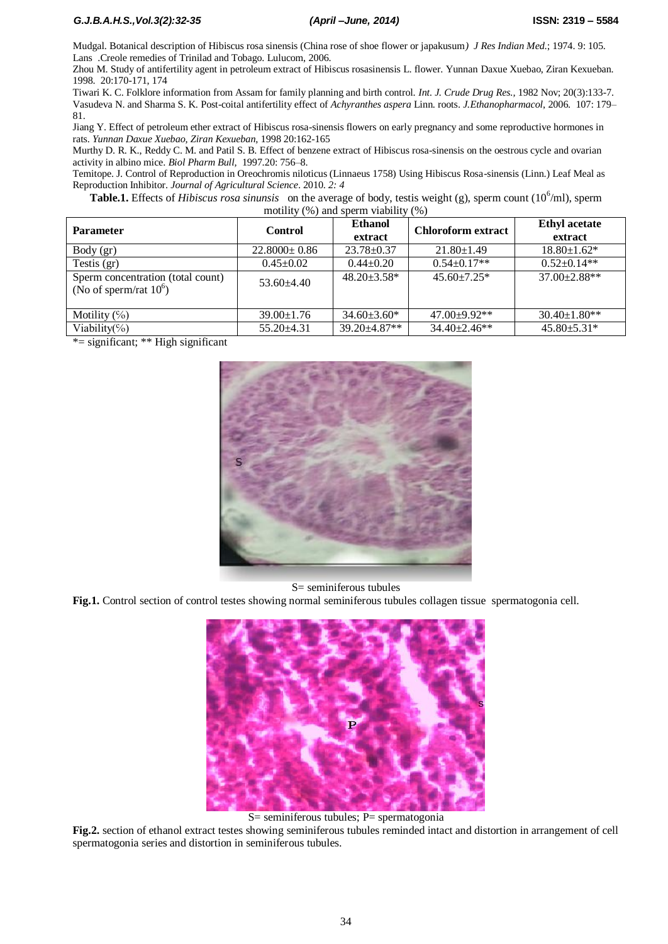Mudgal. Botanical description of Hibiscus rosa sinensis (China rose of shoe flower or japakusum*) J Res Indian Med*.; 1974. 9: 105. Lans .Creole remedies of Trinilad and Tobago. Lulucom, 2006.

Zhou M. Study of antifertility agent in petroleum extract of Hibiscus rosasinensis L. flower. Yunnan Daxue Xuebao, Ziran Kexueban. 1998. 20:170-171, 174

Tiwari K. C. Folklore information from Assam for family planning and birth control. *Int. J. Crude Drug Res.,* 1982 Nov; 20(3):133-7. Vasudeva N. and Sharma S. K. Post-coital antifertility effect of *Achyranthes aspera* Linn. roots. *J.Ethanopharmacol*, 2006. 107: 179– 81.

Jiang Y. Effect of petroleum ether extract of Hibiscus rosa-sinensis flowers on early pregnancy and some reproductive hormones in rats. *Yunnan Daxue Xuebao, Ziran Kexueban,* 1998 20:162-165

Murthy D. R. K., Reddy C. M. and Patil S. B. Effect of benzene extract of Hibiscus rosa-sinensis on the oestrous cycle and ovarian activity in albino mice. *Biol Pharm Bull,* 1997.20: 756–8.

Temitope. J. Control of Reproduction in Oreochromis niloticus (Linnaeus 1758) Using Hibiscus Rosa-sinensis (Linn.) Leaf Meal as Reproduction Inhibitor. *Journal of Agricultural Science*. 2010. *2: 4*

Table.1. Effects of *Hibiscus rosa sinunsis* on the average of body, testis weight (g), sperm count (10<sup>6</sup>/ml), sperm motility (%) and sperm viability (%)

| <b>Parameter</b>                                               | Control            | <b>Ethanol</b><br>extract | <b>Chloroform extract</b> | <b>Ethyl</b> acetate<br>extract |
|----------------------------------------------------------------|--------------------|---------------------------|---------------------------|---------------------------------|
| Body (gr)                                                      | $22.8000 \pm 0.86$ | $23.78 \pm 0.37$          | $21.80 \pm 1.49$          | $18.80 \pm 1.62$ *              |
| Testis $(gr)$                                                  | $0.45 \pm 0.02$    | $0.44 \pm 0.20$           | $0.54 \pm 0.17**$         | $0.52+0.14**$                   |
| Sperm concentration (total count)<br>(No of sperm/rat $10^6$ ) | $53.60 + 4.40$     | $48.20 \pm 3.58^*$        | $45.60 + 7.25*$           | 37.00±2.88**                    |
| Motility $(\%)$                                                | $39.00 \pm 1.76$   | $34.60 \pm 3.60^*$        | $47.00+9.92**$            | $30.40 \pm 1.80**$              |
| Viability(%)                                                   | $55.20 \pm 4.31$   | 39.20±4.87**              | $34.40 \pm 2.46$ **       | $45.80 \pm 5.31*$               |

\*= significant; \*\* High significant



## S= seminiferous tubules

**Fig.1.** Control section of control testes showing normal seminiferous tubules collagen tissue spermatogonia cell.



S= seminiferous tubules; P= spermatogonia

**Fig.2.** section of ethanol extract testes showing seminiferous tubules reminded intact and distortion in arrangement of cell spermatogonia series and distortion in seminiferous tubules.